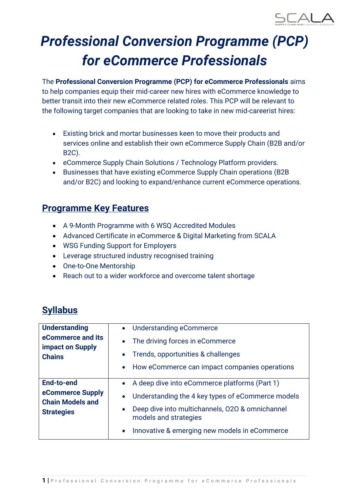

# *Professional Conversion Programme (PCP) for eCommerce Professionals*

The **Professional Conversion Programme (PCP) for eCommerce Professionals** aims to help companies equip their mid-career new hires with eCommerce knowledge to better transit into their new eCommerce related roles. This PCP will be relevant to the following target companies that are looking to take in new mid-careerist hires:

- Existing brick and mortar businesses keen to move their products and services online and establish their own eCommerce Supply Chain (B2B and/or B2C).
- eCommerce Supply Chain Solutions / Technology Platform providers.
- Businesses that have existing eCommerce Supply Chain operations (B2B and/or B2C) and looking to expand/enhance current eCommerce operations.

## **Programme Key Features**

- A 9-Month Programme with 6 WSQ Accredited Modules
- Advanced Certificate in eCommerce & Digital Marketing from SCALA
- WSG Funding Support for Employers
- Leverage structured industry recognised training
- One-to-One Mentorship
- Reach out to a wider workforce and overcome talent shortage

## **Syllabus**

| <b>Understanding</b>                                          | <b>Understanding eCommerce</b><br>$\bullet$                              |  |  |
|---------------------------------------------------------------|--------------------------------------------------------------------------|--|--|
| eCommerce and its<br><b>impact on Supply</b><br><b>Chains</b> | The driving forces in eCommerce<br>$\bullet$                             |  |  |
|                                                               | Trends, opportunities & challenges                                       |  |  |
|                                                               | • How eCommerce can impact companies operations                          |  |  |
| End-to-end                                                    | A deep dive into eCommerce platforms (Part 1)<br>$\bullet$               |  |  |
| eCommerce Supply<br><b>Chain Models and</b>                   | Understanding the 4 key types of eCommerce models<br>$\bullet$           |  |  |
| <b>Strategies</b>                                             | Deep dive into multichannels, 020 & omnichannel<br>models and strategies |  |  |
|                                                               | Innovative & emerging new models in eCommerce                            |  |  |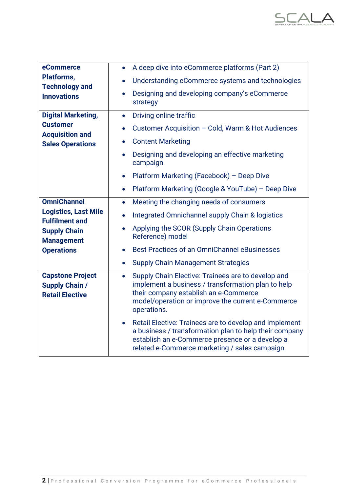

| eCommerce                                                                  | A deep dive into eCommerce platforms (Part 2)<br>$\bullet$                                                                                                                                                                         |
|----------------------------------------------------------------------------|------------------------------------------------------------------------------------------------------------------------------------------------------------------------------------------------------------------------------------|
| <b>Platforms,</b><br><b>Technology and</b>                                 | Understanding eCommerce systems and technologies<br>$\bullet$                                                                                                                                                                      |
| <b>Innovations</b>                                                         | Designing and developing company's eCommerce<br>strategy                                                                                                                                                                           |
| <b>Digital Marketing,</b>                                                  | Driving online traffic<br>$\bullet$                                                                                                                                                                                                |
| <b>Customer</b>                                                            | Customer Acquisition - Cold, Warm & Hot Audiences<br>$\bullet$                                                                                                                                                                     |
| <b>Acquisition and</b><br><b>Sales Operations</b>                          | <b>Content Marketing</b><br>$\bullet$                                                                                                                                                                                              |
|                                                                            | Designing and developing an effective marketing<br>$\bullet$<br>campaign                                                                                                                                                           |
|                                                                            | Platform Marketing (Facebook) - Deep Dive<br>$\bullet$                                                                                                                                                                             |
|                                                                            | Platform Marketing (Google & YouTube) - Deep Dive<br>$\bullet$                                                                                                                                                                     |
| <b>OmniChannel</b>                                                         | Meeting the changing needs of consumers<br>$\bullet$                                                                                                                                                                               |
| <b>Logistics, Last Mile</b><br><b>Fulfilment and</b>                       | Integrated Omnichannel supply Chain & logistics<br>$\bullet$                                                                                                                                                                       |
| <b>Supply Chain</b>                                                        | Applying the SCOR (Supply Chain Operations<br>$\bullet$<br>Reference) model                                                                                                                                                        |
| <b>Management</b><br><b>Operations</b>                                     | Best Practices of an OmniChannel eBusinesses<br>$\bullet$                                                                                                                                                                          |
|                                                                            | <b>Supply Chain Management Strategies</b><br>$\bullet$                                                                                                                                                                             |
| <b>Capstone Project</b><br><b>Supply Chain /</b><br><b>Retail Elective</b> | Supply Chain Elective: Trainees are to develop and<br>$\bullet$<br>implement a business / transformation plan to help<br>their company establish an e-Commerce<br>model/operation or improve the current e-Commerce<br>operations. |
|                                                                            | Retail Elective: Trainees are to develop and implement<br>$\bullet$<br>a business / transformation plan to help their company<br>establish an e-Commerce presence or a develop a<br>related e-Commerce marketing / sales campaign. |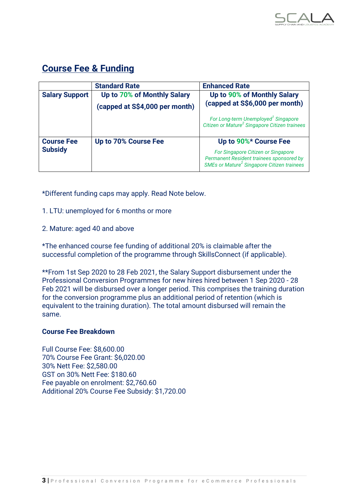

## **Course Fee & Funding**

|                       | <b>Standard Rate</b>           | <b>Enhanced Rate</b>                                                                                                                     |
|-----------------------|--------------------------------|------------------------------------------------------------------------------------------------------------------------------------------|
| <b>Salary Support</b> | Up to 70% of Monthly Salary    | Up to 90% of Monthly Salary                                                                                                              |
|                       | (capped at S\$4,000 per month) | (capped at S\$6,000 per month)                                                                                                           |
|                       |                                | For Long-term Unemployed <sup>1</sup> Singapore<br>Citizen or Mature <sup>2</sup> Singapore Citizen trainees                             |
| <b>Course Fee</b>     | Up to 70% Course Fee           | Up to 90%* Course Fee                                                                                                                    |
| <b>Subsidy</b>        |                                | For Singapore Citizen or Singapore<br>Permanent Resident trainees sponsored by<br>SMEs or Mature <sup>2</sup> Singapore Citizen trainees |

\*Different funding caps may apply. Read Note below.

- 1. LTU: unemployed for 6 months or more
- 2. Mature: aged 40 and above

\*The enhanced course fee funding of additional 20% is claimable after the successful completion of the programme through SkillsConnect (if applicable).

\*\*From 1st Sep 2020 to 28 Feb 2021, the Salary Support disbursement under the Professional Conversion Programmes for new hires hired between 1 Sep 2020 - 28 Feb 2021 will be disbursed over a longer period. This comprises the training duration for the conversion programme plus an additional period of retention (which is equivalent to the training duration). The total amount disbursed will remain the same.

#### **Course Fee Breakdown**

Full Course Fee: \$8,600.00 70% Course Fee Grant: \$6,020.00 30% Nett Fee: \$2,580.00 GST on 30% Nett Fee: \$180.60 Fee payable on enrolment: \$2,760.60 Additional 20% Course Fee Subsidy: \$1,720.00